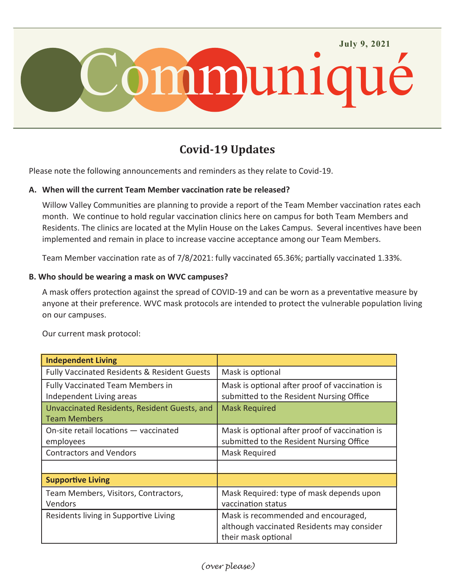

# **Covid-19 Updates**

Please note the following announcements and reminders as they relate to Covid-19.

## **A. When will the current Team Member vaccination rate be released?**

Willow Valley Communities are planning to provide a report of the Team Member vaccination rates each month. We continue to hold regular vaccination clinics here on campus for both Team Members and Residents. The clinics are located at the Mylin House on the Lakes Campus. Several incentives have been implemented and remain in place to increase vaccine acceptance among our Team Members.

Team Member vaccination rate as of 7/8/2021: fully vaccinated 65.36%; partially vaccinated 1.33%.

#### **B. Who should be wearing a mask on WVC campuses?**

A mask offers protection against the spread of COVID-19 and can be worn as a preventative measure by anyone at their preference. WVC mask protocols are intended to protect the vulnerable population living on our campuses.

Our current mask protocol:

| <b>Independent Living</b>                                           |                                                                                                          |
|---------------------------------------------------------------------|----------------------------------------------------------------------------------------------------------|
| <b>Fully Vaccinated Residents &amp; Resident Guests</b>             | Mask is optional                                                                                         |
| <b>Fully Vaccinated Team Members in</b><br>Independent Living areas | Mask is optional after proof of vaccination is<br>submitted to the Resident Nursing Office               |
| Unvaccinated Residents, Resident Guests, and<br><b>Team Members</b> | <b>Mask Required</b>                                                                                     |
| On-site retail locations - vaccinated<br>employees                  | Mask is optional after proof of vaccination is<br>submitted to the Resident Nursing Office               |
| <b>Contractors and Vendors</b>                                      | Mask Required                                                                                            |
|                                                                     |                                                                                                          |
| <b>Supportive Living</b>                                            |                                                                                                          |
| Team Members, Visitors, Contractors,<br>Vendors                     | Mask Required: type of mask depends upon<br>vaccination status                                           |
| Residents living in Supportive Living                               | Mask is recommended and encouraged,<br>although vaccinated Residents may consider<br>their mask optional |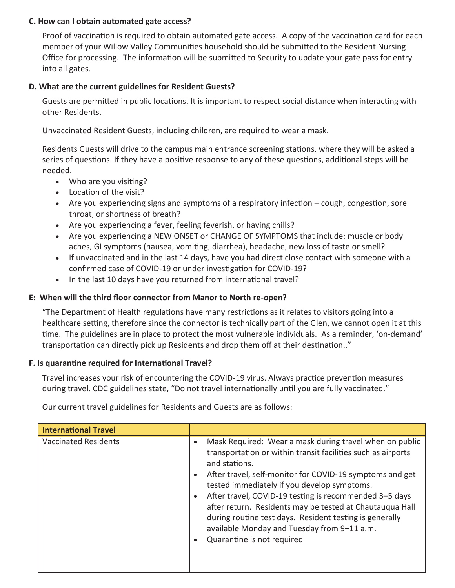#### **C. How can I obtain automated gate access?**

Proof of vaccination is required to obtain automated gate access. A copy of the vaccination card for each member of your Willow Valley Communities household should be submitted to the Resident Nursing Office for processing. The information will be submitted to Security to update your gate pass for entry into all gates.

#### **D. What are the current guidelines for Resident Guests?**

Guests are permitted in public locations. It is important to respect social distance when interacting with other Residents.

Unvaccinated Resident Guests, including children, are required to wear a mask.

Residents Guests will drive to the campus main entrance screening stations, where they will be asked a series of questions. If they have a positive response to any of these questions, additional steps will be needed.

- Who are you visiting?
- Location of the visit?
- Are you experiencing signs and symptoms of a respiratory infection cough, congestion, sore throat, or shortness of breath?
- Are you experiencing a fever, feeling feverish, or having chills?
- Are you experiencing a NEW ONSET or CHANGE OF SYMPTOMS that include: muscle or body aches, GI symptoms (nausea, vomiting, diarrhea), headache, new loss of taste or smell?
- If unvaccinated and in the last 14 days, have you had direct close contact with someone with a confirmed case of COVID-19 or under investigation for COVID-19?
- In the last 10 days have you returned from international travel?

## **E: When will the third floor connector from Manor to North re-open?**

"The Department of Health regulations have many restrictions as it relates to visitors going into a healthcare setting, therefore since the connector is technically part of the Glen, we cannot open it at this time. The guidelines are in place to protect the most vulnerable individuals. As a reminder, 'on-demand' transportation can directly pick up Residents and drop them off at their destination.."

## **F. Is quarantine required for International Travel?**

Travel increases your risk of encountering the COVID-19 virus. Always practice prevention measures during travel. CDC guidelines state, "Do not travel internationally until you are fully vaccinated."

Our current travel guidelines for Residents and Guests are as follows:

| <b>International Travel</b> |                                                                                                                                                                                                                                                                                                                                                      |
|-----------------------------|------------------------------------------------------------------------------------------------------------------------------------------------------------------------------------------------------------------------------------------------------------------------------------------------------------------------------------------------------|
| <b>Vaccinated Residents</b> | Mask Required: Wear a mask during travel when on public<br>$\bullet$<br>transportation or within transit facilities such as airports<br>and stations.<br>After travel, self-monitor for COVID-19 symptoms and get<br>$\bullet$<br>tested immediately if you develop symptoms.<br>After travel, COVID-19 testing is recommended 3-5 days<br>$\bullet$ |
|                             | after return. Residents may be tested at Chautauqua Hall<br>during routine test days. Resident testing is generally<br>available Monday and Tuesday from 9-11 a.m.<br>Quarantine is not required<br>$\bullet$                                                                                                                                        |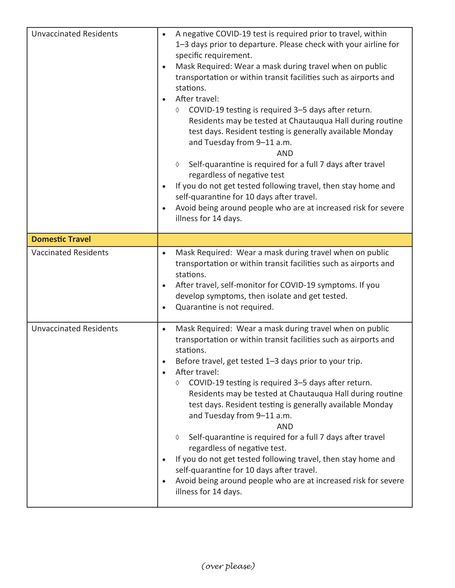| <b>Unvaccinated Residents</b> | A negative COVID-19 test is required prior to travel, within<br>$\bullet$<br>1-3 days prior to departure. Please check with your airline for<br>specific requirement.<br>Mask Required: Wear a mask during travel when on public<br>$\bullet$<br>transportation or within transit facilities such as airports and<br>stations.<br>After travel:<br>COVID-19 testing is required 3-5 days after return.<br>♦<br>Residents may be tested at Chautauqua Hall during routine<br>test days. Resident testing is generally available Monday<br>and Tuesday from 9-11 a.m.<br><b>AND</b><br>Self-quarantine is required for a full 7 days after travel<br>♦<br>regardless of negative test<br>If you do not get tested following travel, then stay home and<br>self-quarantine for 10 days after travel.<br>Avoid being around people who are at increased risk for severe<br>illness for 14 days. |
|-------------------------------|---------------------------------------------------------------------------------------------------------------------------------------------------------------------------------------------------------------------------------------------------------------------------------------------------------------------------------------------------------------------------------------------------------------------------------------------------------------------------------------------------------------------------------------------------------------------------------------------------------------------------------------------------------------------------------------------------------------------------------------------------------------------------------------------------------------------------------------------------------------------------------------------|
| <b>Domestic Travel</b>        |                                                                                                                                                                                                                                                                                                                                                                                                                                                                                                                                                                                                                                                                                                                                                                                                                                                                                             |
| <b>Vaccinated Residents</b>   | Mask Required: Wear a mask during travel when on public<br>$\bullet$<br>transportation or within transit facilities such as airports and<br>stations.<br>After travel, self-monitor for COVID-19 symptoms. If you<br>$\bullet$<br>develop symptoms, then isolate and get tested.<br>Quarantine is not required.<br>$\bullet$                                                                                                                                                                                                                                                                                                                                                                                                                                                                                                                                                                |
| <b>Unvaccinated Residents</b> | Mask Required: Wear a mask during travel when on public<br>$\bullet$<br>transportation or within transit facilities such as airports and<br>stations.<br>Before travel, get tested 1-3 days prior to your trip.<br>After travel:<br>COVID-19 testing is required 3-5 days after return.<br>♦<br>Residents may be tested at Chautauqua Hall during routine<br>test days. Resident testing is generally available Monday<br>and Tuesday from 9-11 a.m.<br><b>AND</b><br>Self-quarantine is required for a full 7 days after travel<br>♦<br>regardless of negative test.<br>If you do not get tested following travel, then stay home and<br>self-quarantine for 10 days after travel.<br>Avoid being around people who are at increased risk for severe<br>illness for 14 days.                                                                                                               |